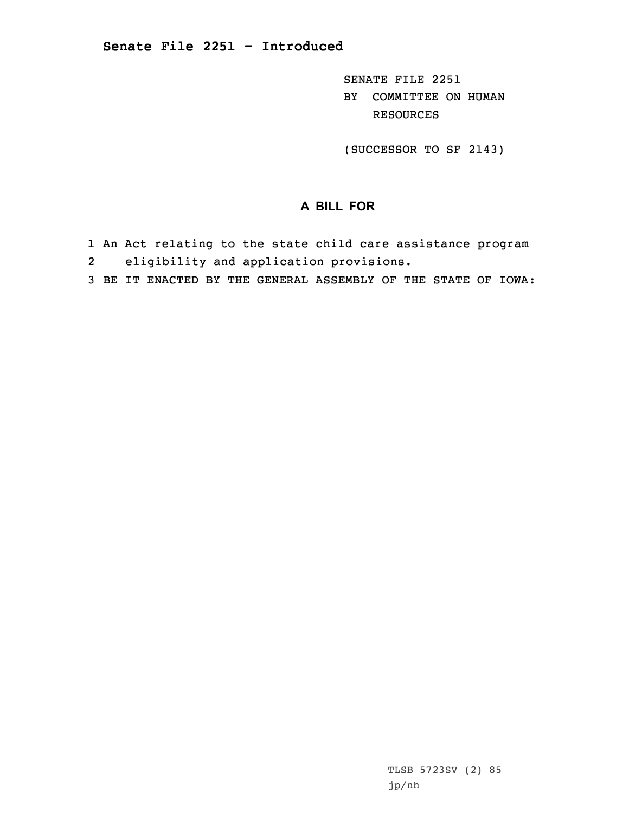SENATE FILE 2251 BY COMMITTEE ON HUMAN RESOURCES

(SUCCESSOR TO SF 2143)

## **A BILL FOR**

- 1 An Act relating to the state child care assistance program 2eligibility and application provisions.
- 3 BE IT ENACTED BY THE GENERAL ASSEMBLY OF THE STATE OF IOWA: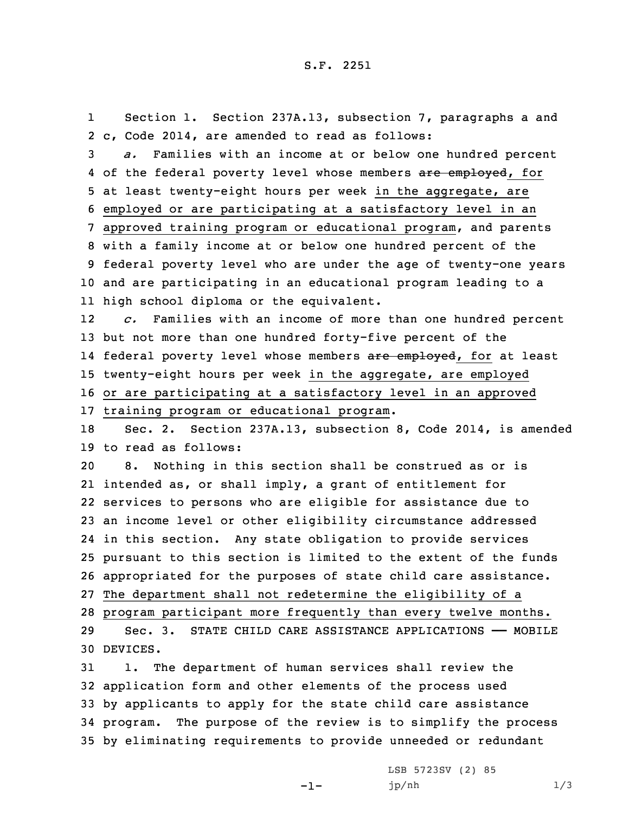1 Section 1. Section 237A.13, subsection 7, paragraphs <sup>a</sup> and 2 c, Code 2014, are amended to read as follows:

 *a.* Families with an income at or below one hundred percent 4 of the federal poverty level whose members <del>are employed</del>, for at least twenty-eight hours per week in the aggregate, are employed or are participating at <sup>a</sup> satisfactory level in an approved training program or educational program, and parents with <sup>a</sup> family income at or below one hundred percent of the federal poverty level who are under the age of twenty-one years and are participating in an educational program leading to <sup>a</sup> high school diploma or the equivalent.

12 *c.* Families with an income of more than one hundred percent 13 but not more than one hundred forty-five percent of the 14 federal poverty level whose members <del>are employed</del>, for at least 15 twenty-eight hours per week in the aggregate, are employed 16 or are participating at <sup>a</sup> satisfactory level in an approved 17 training program or educational program.

18 Sec. 2. Section 237A.13, subsection 8, Code 2014, is amended 19 to read as follows:

 8. Nothing in this section shall be construed as or is intended as, or shall imply, <sup>a</sup> grant of entitlement for services to persons who are eligible for assistance due to an income level or other eligibility circumstance addressed in this section. Any state obligation to provide services pursuant to this section is limited to the extent of the funds appropriated for the purposes of state child care assistance. The department shall not redetermine the eligibility of <sup>a</sup> program participant more frequently than every twelve months. Sec. 3. STATE CHILD CARE ASSISTANCE APPLICATIONS —— MOBILE

30 DEVICES.

 1. The department of human services shall review the application form and other elements of the process used by applicants to apply for the state child care assistance program. The purpose of the review is to simplify the process by eliminating requirements to provide unneeded or redundant

-1-

LSB 5723SV (2) 85 jp/nh 1/3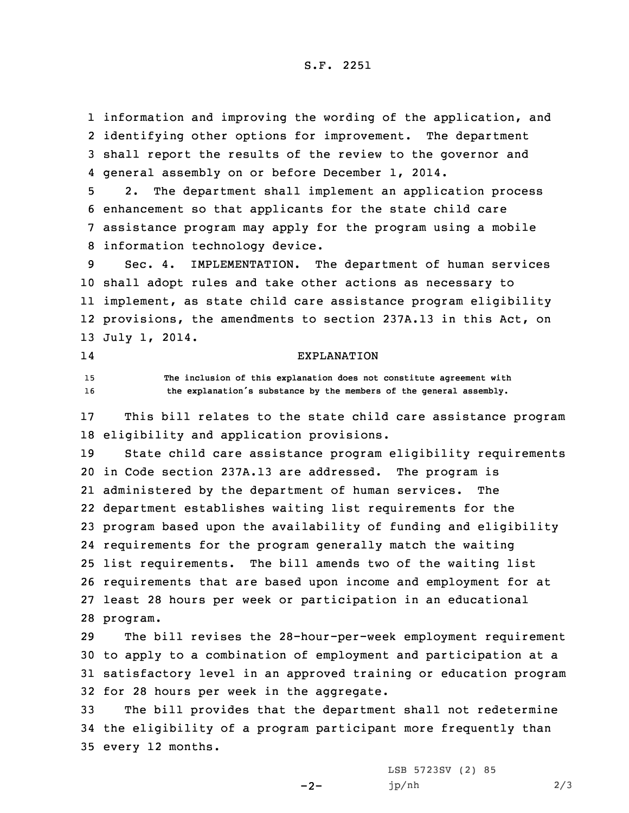information and improving the wording of the application, and identifying other options for improvement. The department shall report the results of the review to the governor and general assembly on or before December 1, 2014.

 2. The department shall implement an application process enhancement so that applicants for the state child care assistance program may apply for the program using <sup>a</sup> mobile information technology device.

 Sec. 4. IMPLEMENTATION. The department of human services shall adopt rules and take other actions as necessary to implement, as state child care assistance program eligibility provisions, the amendments to section 237A.13 in this Act, on July 1, 2014.

## 14

## EXPLANATION

15 **The inclusion of this explanation does not constitute agreement with** <sup>16</sup> **the explanation's substance by the members of the general assembly.**

17 This bill relates to the state child care assistance program 18 eligibility and application provisions.

 State child care assistance program eligibility requirements in Code section 237A.13 are addressed. The program is administered by the department of human services. The department establishes waiting list requirements for the program based upon the availability of funding and eligibility requirements for the program generally match the waiting list requirements. The bill amends two of the waiting list requirements that are based upon income and employment for at least 28 hours per week or participation in an educational 28 program.

 The bill revises the 28-hour-per-week employment requirement to apply to <sup>a</sup> combination of employment and participation at <sup>a</sup> satisfactory level in an approved training or education program for 28 hours per week in the aggregate.

33 The bill provides that the department shall not redetermine 34 the eligibility of <sup>a</sup> program participant more frequently than 35 every 12 months.

 $-2-$ 

LSB 5723SV (2) 85 jp/nh 2/3